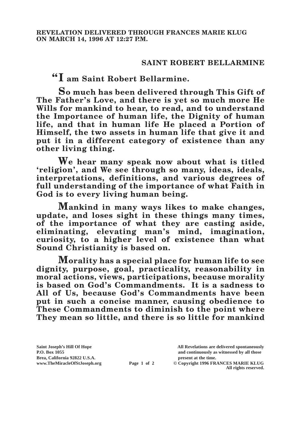## **SAINT ROBERT BELLARMINE**

**"I am Saint Robert Bellarmine.**

**So much has been delivered through This Gift of The Father's Love, and there is yet so much more He Wills for mankind to hear, to read, and to understand the Importance of human life, the Dignity of human life, and that in human life He placed a Portion of Himself, the two assets in human life that give it and put it in a different category of existence than any other living thing.**

**We hear many speak now about what is titled 'religion', and We see through so many, ideas, ideals, interpretations, definitions, and various degrees of full understanding of the importance of what Faith in God is to every living human being.**

**Mankind in many ways likes to make changes, update, and loses sight in these things many times, of the importance of what they are casting aside,**  eliminating, elevating man's mind, imagination, **curiosity, to a higher level of existence than what Sound Christianity is based on.**

**Morality has a special place for human life to see dignity, purpose, goal, practicality, reasonability in moral actions, views, participations, because morality is based on God's Commandments. It is a sadness to All of Us, because God's Commandments have been put in such a concise manner, causing obedience to These Commandments to diminish to the point where They mean so little, and there is so little for mankind** 

**Brea, California 92822 U.S.A. present at the time.**

**Saint Joseph's Hill Of Hope All Revelations are delivered spontaneously P.O. Box 1055 and continuously as witnessed by all those** 

**www.TheMiracleOfStJoseph.org Page 1 of 2 © Copyright 1996 FRANCES MARIE KLUG All rights reserved.**